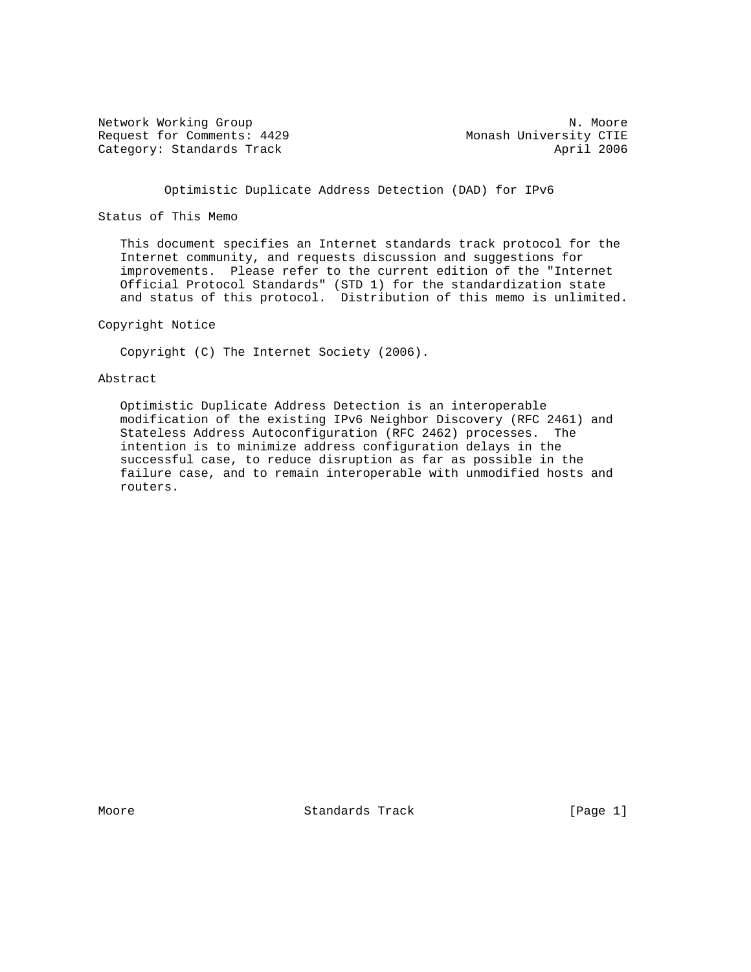Network Working Group Network Working Group Network Network Network Network Network Network Network Network Ne Request for Comments: 4429 Monash University CTIE Category: Standards Track April 2006

Optimistic Duplicate Address Detection (DAD) for IPv6

Status of This Memo

 This document specifies an Internet standards track protocol for the Internet community, and requests discussion and suggestions for improvements. Please refer to the current edition of the "Internet Official Protocol Standards" (STD 1) for the standardization state and status of this protocol. Distribution of this memo is unlimited.

Copyright Notice

Copyright (C) The Internet Society (2006).

Abstract

 Optimistic Duplicate Address Detection is an interoperable modification of the existing IPv6 Neighbor Discovery (RFC 2461) and Stateless Address Autoconfiguration (RFC 2462) processes. The intention is to minimize address configuration delays in the successful case, to reduce disruption as far as possible in the failure case, and to remain interoperable with unmodified hosts and routers.

Moore **Standards Track** [Page 1]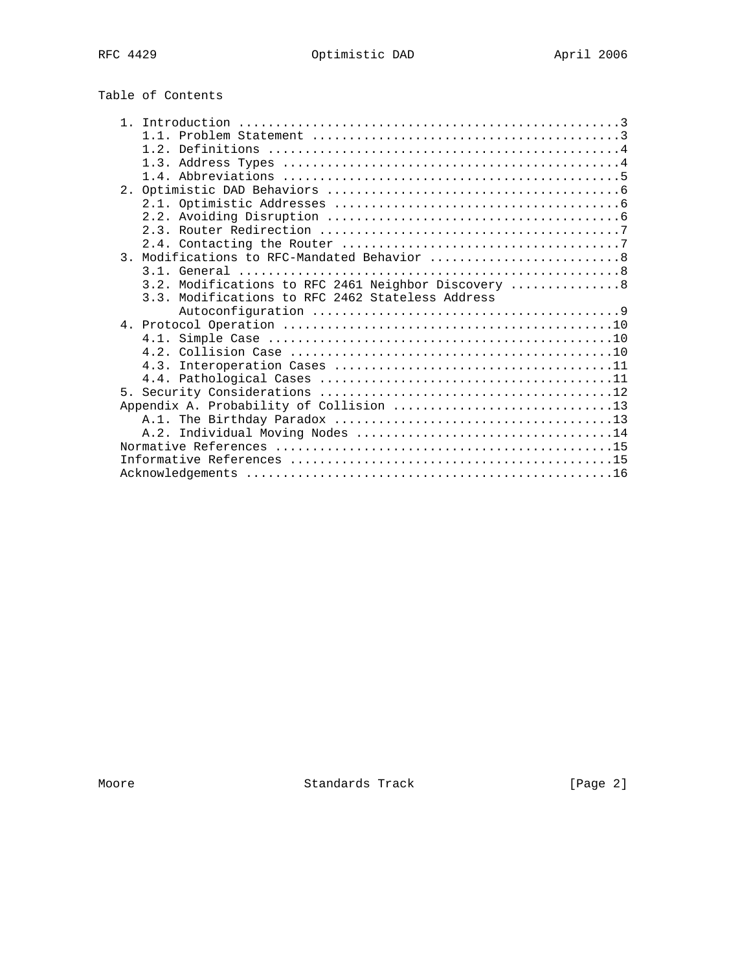# Table of Contents

|  | 3. Modifications to RFC-Mandated Behavior 8          |  |
|--|------------------------------------------------------|--|
|  |                                                      |  |
|  | 3.2. Modifications to RFC 2461 Neighbor Discovery  8 |  |
|  | 3.3. Modifications to RFC 2462 Stateless Address     |  |
|  |                                                      |  |
|  |                                                      |  |
|  |                                                      |  |
|  |                                                      |  |
|  |                                                      |  |
|  |                                                      |  |
|  |                                                      |  |
|  |                                                      |  |
|  |                                                      |  |
|  |                                                      |  |
|  |                                                      |  |
|  |                                                      |  |
|  |                                                      |  |
|  |                                                      |  |

Moore Standards Track [Page 2]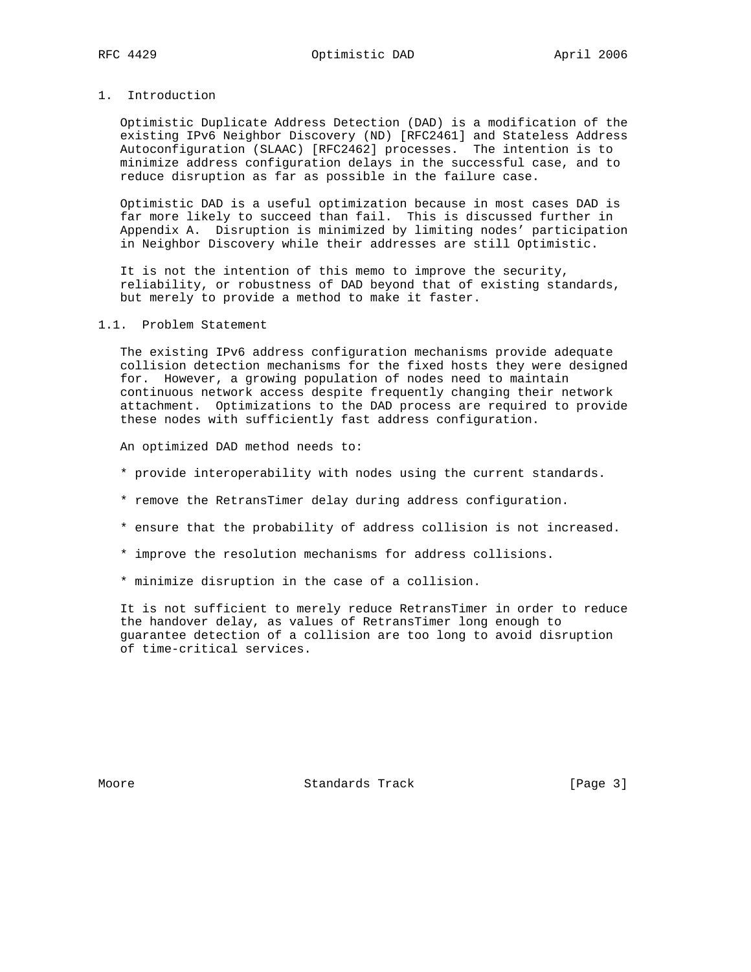## 1. Introduction

 Optimistic Duplicate Address Detection (DAD) is a modification of the existing IPv6 Neighbor Discovery (ND) [RFC2461] and Stateless Address Autoconfiguration (SLAAC) [RFC2462] processes. The intention is to minimize address configuration delays in the successful case, and to reduce disruption as far as possible in the failure case.

 Optimistic DAD is a useful optimization because in most cases DAD is far more likely to succeed than fail. This is discussed further in Appendix A. Disruption is minimized by limiting nodes' participation in Neighbor Discovery while their addresses are still Optimistic.

 It is not the intention of this memo to improve the security, reliability, or robustness of DAD beyond that of existing standards, but merely to provide a method to make it faster.

#### 1.1. Problem Statement

 The existing IPv6 address configuration mechanisms provide adequate collision detection mechanisms for the fixed hosts they were designed for. However, a growing population of nodes need to maintain continuous network access despite frequently changing their network attachment. Optimizations to the DAD process are required to provide these nodes with sufficiently fast address configuration.

An optimized DAD method needs to:

- \* provide interoperability with nodes using the current standards.
- \* remove the RetransTimer delay during address configuration.
- \* ensure that the probability of address collision is not increased.
- \* improve the resolution mechanisms for address collisions.
- \* minimize disruption in the case of a collision.

 It is not sufficient to merely reduce RetransTimer in order to reduce the handover delay, as values of RetransTimer long enough to guarantee detection of a collision are too long to avoid disruption of time-critical services.

Moore **Standards Track** [Page 3]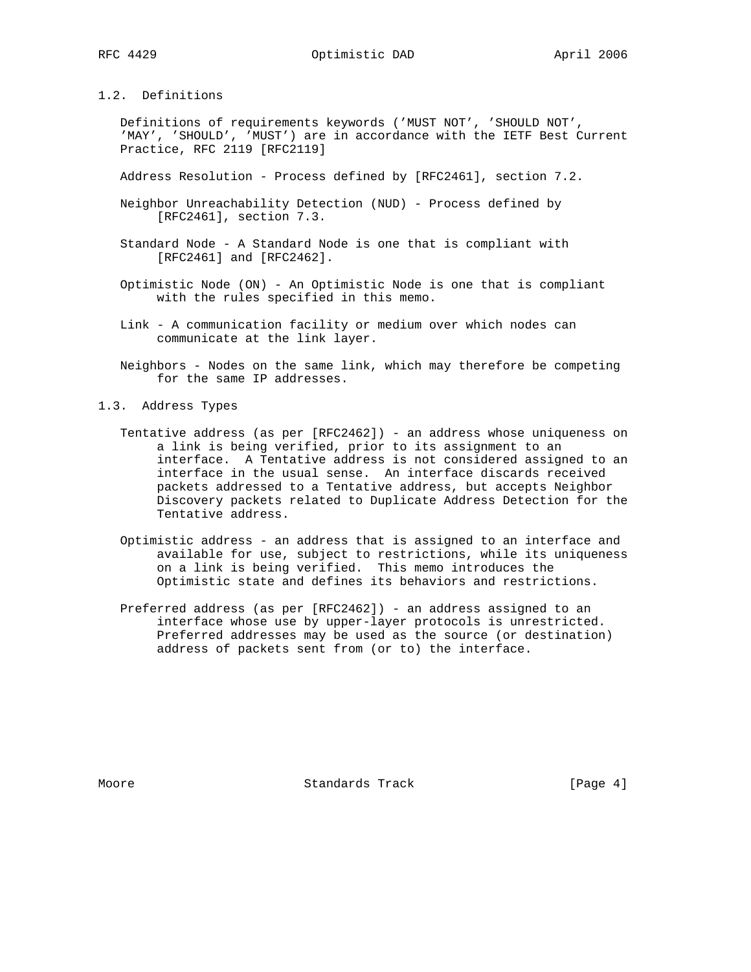## 1.2. Definitions

 Definitions of requirements keywords ('MUST NOT', 'SHOULD NOT', 'MAY', 'SHOULD', 'MUST') are in accordance with the IETF Best Current Practice, RFC 2119 [RFC2119]

Address Resolution - Process defined by [RFC2461], section 7.2.

- Neighbor Unreachability Detection (NUD) Process defined by [RFC2461], section 7.3.
- Standard Node A Standard Node is one that is compliant with [RFC2461] and [RFC2462].
- Optimistic Node (ON) An Optimistic Node is one that is compliant with the rules specified in this memo.
- Link A communication facility or medium over which nodes can communicate at the link layer.
- Neighbors Nodes on the same link, which may therefore be competing for the same IP addresses.
- 1.3. Address Types
	- Tentative address (as per [RFC2462]) an address whose uniqueness on a link is being verified, prior to its assignment to an interface. A Tentative address is not considered assigned to an interface in the usual sense. An interface discards received packets addressed to a Tentative address, but accepts Neighbor Discovery packets related to Duplicate Address Detection for the Tentative address.
	- Optimistic address an address that is assigned to an interface and available for use, subject to restrictions, while its uniqueness on a link is being verified. This memo introduces the Optimistic state and defines its behaviors and restrictions.
	- Preferred address (as per [RFC2462]) an address assigned to an interface whose use by upper-layer protocols is unrestricted. Preferred addresses may be used as the source (or destination) address of packets sent from (or to) the interface.

Moore **Standards Track** [Page 4]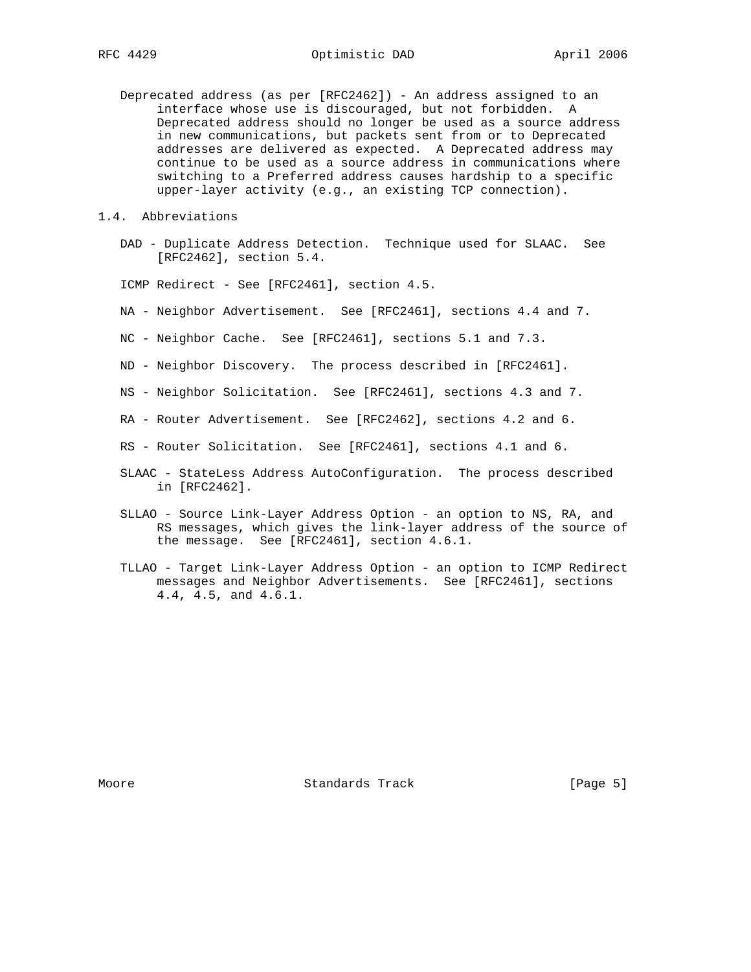RFC 4429 Optimistic DAD April 2006

- Deprecated address (as per [RFC2462]) An address assigned to an interface whose use is discouraged, but not forbidden. A Deprecated address should no longer be used as a source address in new communications, but packets sent from or to Deprecated addresses are delivered as expected. A Deprecated address may continue to be used as a source address in communications where switching to a Preferred address causes hardship to a specific upper-layer activity (e.g., an existing TCP connection).
- 1.4. Abbreviations
	- DAD Duplicate Address Detection. Technique used for SLAAC. See [RFC2462], section 5.4.

ICMP Redirect - See [RFC2461], section 4.5.

- NA Neighbor Advertisement. See [RFC2461], sections 4.4 and 7.
- NC Neighbor Cache. See [RFC2461], sections 5.1 and 7.3.
- ND Neighbor Discovery. The process described in [RFC2461].
- NS Neighbor Solicitation. See [RFC2461], sections 4.3 and 7.
- RA Router Advertisement. See [RFC2462], sections 4.2 and 6.
- RS Router Solicitation. See [RFC2461], sections 4.1 and 6.
- SLAAC StateLess Address AutoConfiguration. The process described in [RFC2462].
- SLLAO Source Link-Layer Address Option an option to NS, RA, and RS messages, which gives the link-layer address of the source of the message. See [RFC2461], section 4.6.1.
- TLLAO Target Link-Layer Address Option an option to ICMP Redirect messages and Neighbor Advertisements. See [RFC2461], sections 4.4, 4.5, and 4.6.1.

Moore **Standards Track** [Page 5]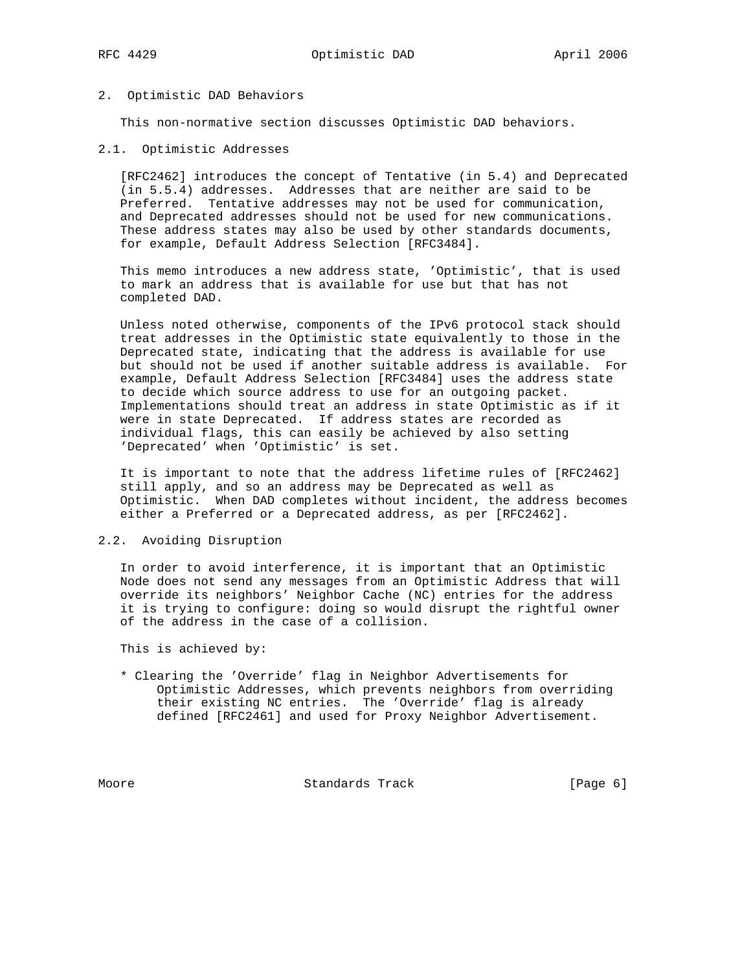#### 2. Optimistic DAD Behaviors

This non-normative section discusses Optimistic DAD behaviors.

2.1. Optimistic Addresses

 [RFC2462] introduces the concept of Tentative (in 5.4) and Deprecated (in 5.5.4) addresses. Addresses that are neither are said to be Preferred. Tentative addresses may not be used for communication, and Deprecated addresses should not be used for new communications. These address states may also be used by other standards documents, for example, Default Address Selection [RFC3484].

 This memo introduces a new address state, 'Optimistic', that is used to mark an address that is available for use but that has not completed DAD.

 Unless noted otherwise, components of the IPv6 protocol stack should treat addresses in the Optimistic state equivalently to those in the Deprecated state, indicating that the address is available for use but should not be used if another suitable address is available. For example, Default Address Selection [RFC3484] uses the address state to decide which source address to use for an outgoing packet. Implementations should treat an address in state Optimistic as if it were in state Deprecated. If address states are recorded as individual flags, this can easily be achieved by also setting 'Deprecated' when 'Optimistic' is set.

 It is important to note that the address lifetime rules of [RFC2462] still apply, and so an address may be Deprecated as well as Optimistic. When DAD completes without incident, the address becomes either a Preferred or a Deprecated address, as per [RFC2462].

## 2.2. Avoiding Disruption

 In order to avoid interference, it is important that an Optimistic Node does not send any messages from an Optimistic Address that will override its neighbors' Neighbor Cache (NC) entries for the address it is trying to configure: doing so would disrupt the rightful owner of the address in the case of a collision.

This is achieved by:

 \* Clearing the 'Override' flag in Neighbor Advertisements for Optimistic Addresses, which prevents neighbors from overriding their existing NC entries. The 'Override' flag is already defined [RFC2461] and used for Proxy Neighbor Advertisement.

Moore **Standards Track** [Page 6]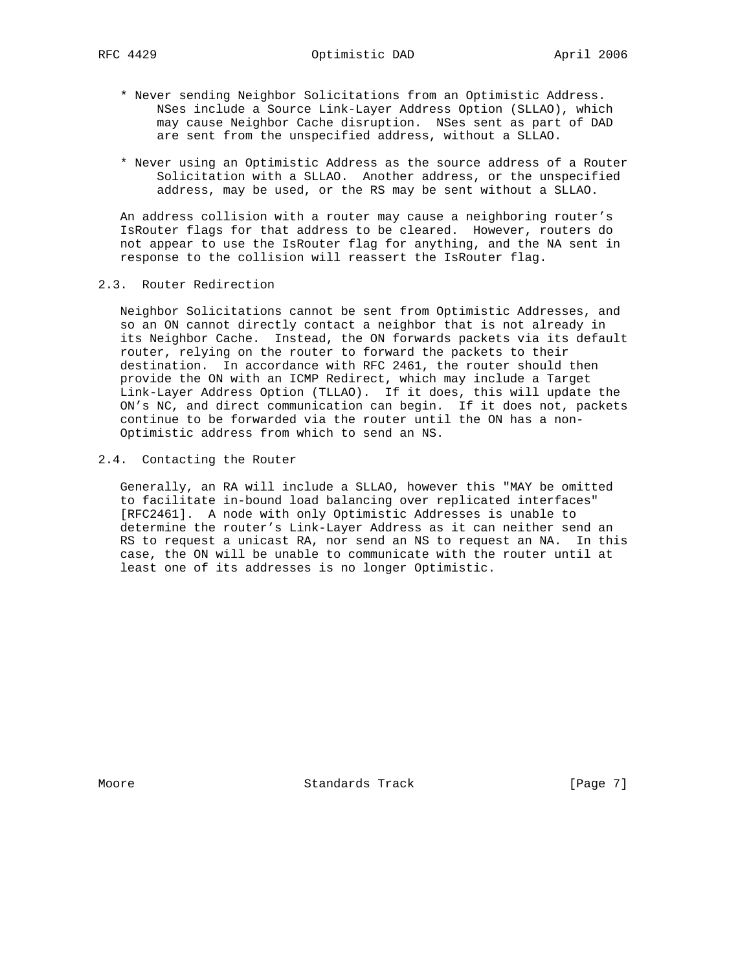- \* Never sending Neighbor Solicitations from an Optimistic Address. NSes include a Source Link-Layer Address Option (SLLAO), which may cause Neighbor Cache disruption. NSes sent as part of DAD are sent from the unspecified address, without a SLLAO.
- \* Never using an Optimistic Address as the source address of a Router Solicitation with a SLLAO. Another address, or the unspecified address, may be used, or the RS may be sent without a SLLAO.

 An address collision with a router may cause a neighboring router's IsRouter flags for that address to be cleared. However, routers do not appear to use the IsRouter flag for anything, and the NA sent in response to the collision will reassert the IsRouter flag.

### 2.3. Router Redirection

 Neighbor Solicitations cannot be sent from Optimistic Addresses, and so an ON cannot directly contact a neighbor that is not already in its Neighbor Cache. Instead, the ON forwards packets via its default router, relying on the router to forward the packets to their destination. In accordance with RFC 2461, the router should then provide the ON with an ICMP Redirect, which may include a Target Link-Layer Address Option (TLLAO). If it does, this will update the ON's NC, and direct communication can begin. If it does not, packets continue to be forwarded via the router until the ON has a non- Optimistic address from which to send an NS.

#### 2.4. Contacting the Router

 Generally, an RA will include a SLLAO, however this "MAY be omitted to facilitate in-bound load balancing over replicated interfaces" [RFC2461]. A node with only Optimistic Addresses is unable to determine the router's Link-Layer Address as it can neither send an RS to request a unicast RA, nor send an NS to request an NA. In this case, the ON will be unable to communicate with the router until at least one of its addresses is no longer Optimistic.

Moore **Standards Track** [Page 7]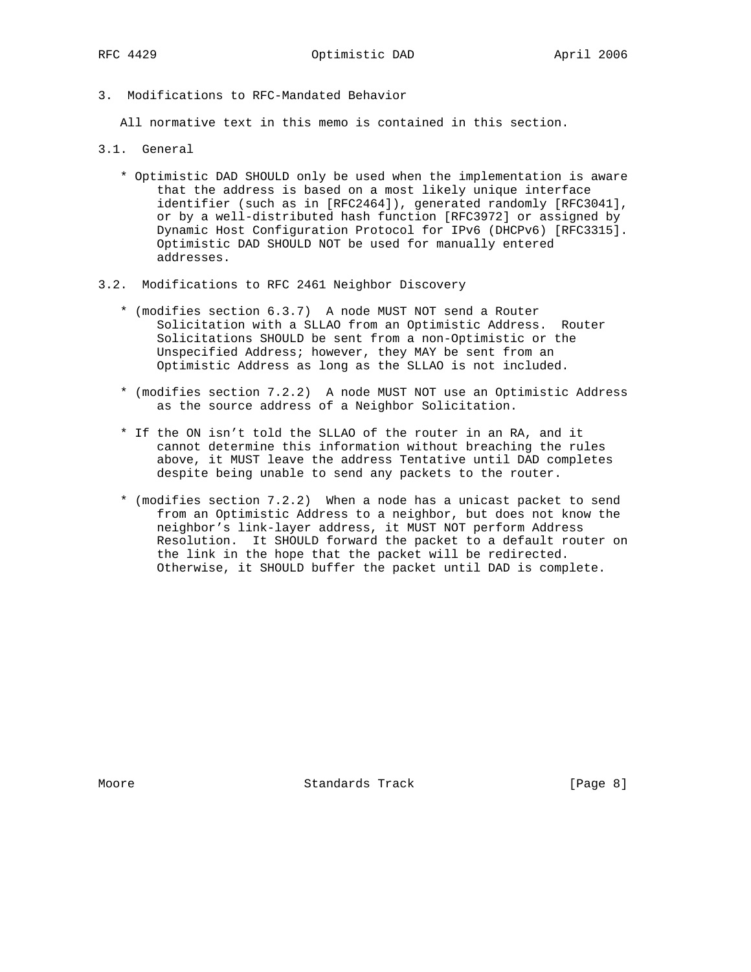3. Modifications to RFC-Mandated Behavior

All normative text in this memo is contained in this section.

- 3.1. General
	- \* Optimistic DAD SHOULD only be used when the implementation is aware that the address is based on a most likely unique interface identifier (such as in [RFC2464]), generated randomly [RFC3041], or by a well-distributed hash function [RFC3972] or assigned by Dynamic Host Configuration Protocol for IPv6 (DHCPv6) [RFC3315]. Optimistic DAD SHOULD NOT be used for manually entered addresses.
- 3.2. Modifications to RFC 2461 Neighbor Discovery
	- \* (modifies section 6.3.7) A node MUST NOT send a Router Solicitation with a SLLAO from an Optimistic Address. Router Solicitations SHOULD be sent from a non-Optimistic or the Unspecified Address; however, they MAY be sent from an Optimistic Address as long as the SLLAO is not included.
	- \* (modifies section 7.2.2) A node MUST NOT use an Optimistic Address as the source address of a Neighbor Solicitation.
	- \* If the ON isn't told the SLLAO of the router in an RA, and it cannot determine this information without breaching the rules above, it MUST leave the address Tentative until DAD completes despite being unable to send any packets to the router.
	- \* (modifies section 7.2.2) When a node has a unicast packet to send from an Optimistic Address to a neighbor, but does not know the neighbor's link-layer address, it MUST NOT perform Address Resolution. It SHOULD forward the packet to a default router on the link in the hope that the packet will be redirected. Otherwise, it SHOULD buffer the packet until DAD is complete.

Moore **Standards Track** [Page 8]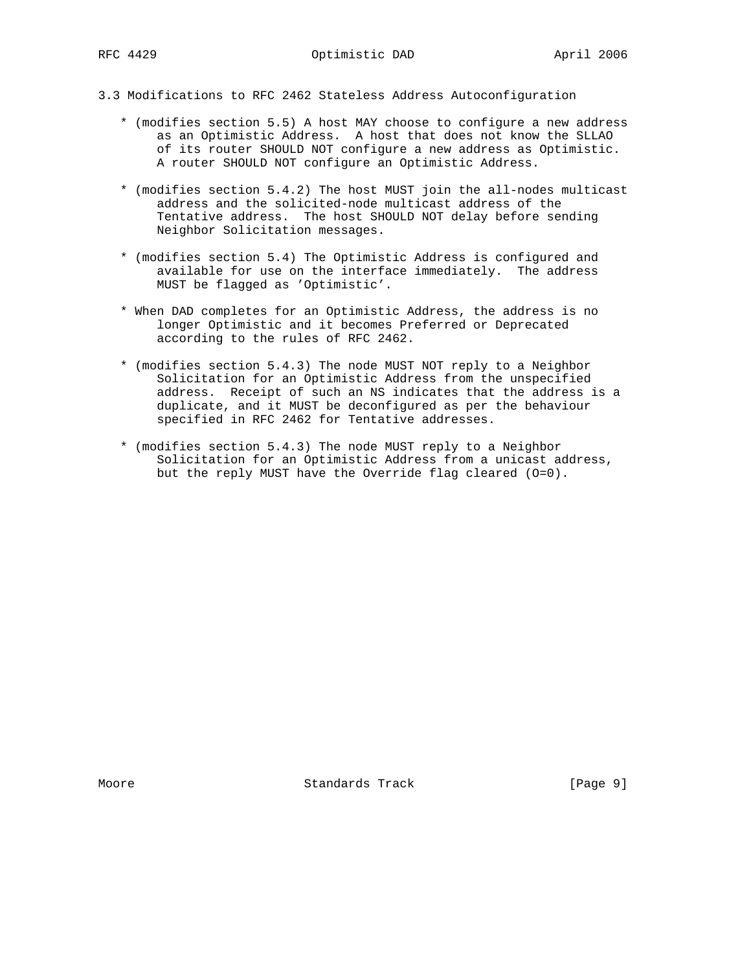- 3.3 Modifications to RFC 2462 Stateless Address Autoconfiguration
	- \* (modifies section 5.5) A host MAY choose to configure a new address as an Optimistic Address. A host that does not know the SLLAO of its router SHOULD NOT configure a new address as Optimistic. A router SHOULD NOT configure an Optimistic Address.
	- \* (modifies section 5.4.2) The host MUST join the all-nodes multicast address and the solicited-node multicast address of the Tentative address. The host SHOULD NOT delay before sending Neighbor Solicitation messages.
	- \* (modifies section 5.4) The Optimistic Address is configured and available for use on the interface immediately. The address MUST be flagged as 'Optimistic'.
	- \* When DAD completes for an Optimistic Address, the address is no longer Optimistic and it becomes Preferred or Deprecated according to the rules of RFC 2462.
	- \* (modifies section 5.4.3) The node MUST NOT reply to a Neighbor Solicitation for an Optimistic Address from the unspecified address. Receipt of such an NS indicates that the address is a duplicate, and it MUST be deconfigured as per the behaviour specified in RFC 2462 for Tentative addresses.
	- \* (modifies section 5.4.3) The node MUST reply to a Neighbor Solicitation for an Optimistic Address from a unicast address, but the reply MUST have the Override flag cleared (O=0).

Moore **Standards Track** [Page 9]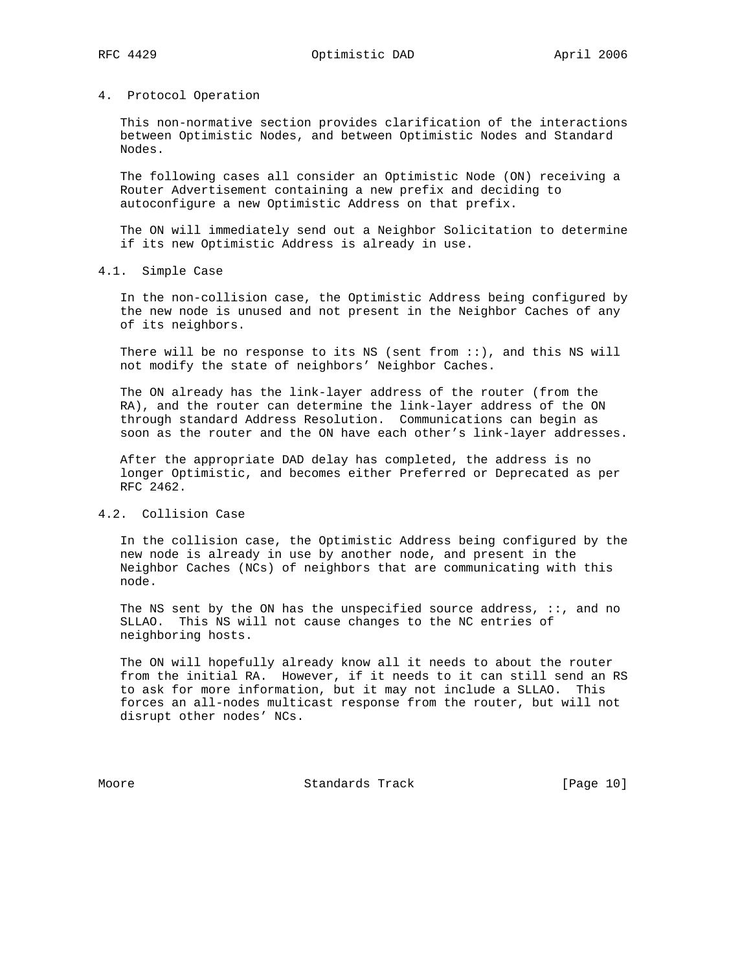#### 4. Protocol Operation

 This non-normative section provides clarification of the interactions between Optimistic Nodes, and between Optimistic Nodes and Standard Nodes.

 The following cases all consider an Optimistic Node (ON) receiving a Router Advertisement containing a new prefix and deciding to autoconfigure a new Optimistic Address on that prefix.

 The ON will immediately send out a Neighbor Solicitation to determine if its new Optimistic Address is already in use.

#### 4.1. Simple Case

 In the non-collision case, the Optimistic Address being configured by the new node is unused and not present in the Neighbor Caches of any of its neighbors.

There will be no response to its NS (sent from  $::$ ), and this NS will not modify the state of neighbors' Neighbor Caches.

 The ON already has the link-layer address of the router (from the RA), and the router can determine the link-layer address of the ON through standard Address Resolution. Communications can begin as soon as the router and the ON have each other's link-layer addresses.

 After the appropriate DAD delay has completed, the address is no longer Optimistic, and becomes either Preferred or Deprecated as per RFC 2462.

## 4.2. Collision Case

 In the collision case, the Optimistic Address being configured by the new node is already in use by another node, and present in the Neighbor Caches (NCs) of neighbors that are communicating with this node.

The NS sent by the ON has the unspecified source address,  $::$ , and no SLLAO. This NS will not cause changes to the NC entries of neighboring hosts.

 The ON will hopefully already know all it needs to about the router from the initial RA. However, if it needs to it can still send an RS to ask for more information, but it may not include a SLLAO. This forces an all-nodes multicast response from the router, but will not disrupt other nodes' NCs.

Moore Standards Track [Page 10]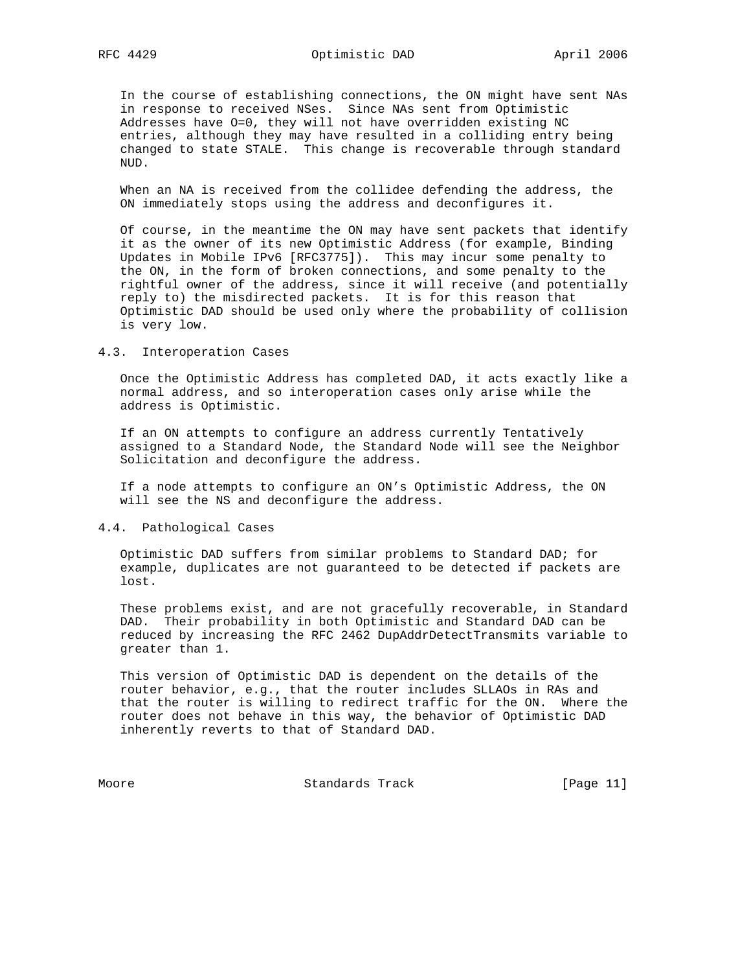In the course of establishing connections, the ON might have sent NAs in response to received NSes. Since NAs sent from Optimistic Addresses have O=0, they will not have overridden existing NC entries, although they may have resulted in a colliding entry being changed to state STALE. This change is recoverable through standard NUD.

 When an NA is received from the collidee defending the address, the ON immediately stops using the address and deconfigures it.

 Of course, in the meantime the ON may have sent packets that identify it as the owner of its new Optimistic Address (for example, Binding Updates in Mobile IPv6 [RFC3775]). This may incur some penalty to the ON, in the form of broken connections, and some penalty to the rightful owner of the address, since it will receive (and potentially reply to) the misdirected packets. It is for this reason that Optimistic DAD should be used only where the probability of collision is very low.

#### 4.3. Interoperation Cases

 Once the Optimistic Address has completed DAD, it acts exactly like a normal address, and so interoperation cases only arise while the address is Optimistic.

 If an ON attempts to configure an address currently Tentatively assigned to a Standard Node, the Standard Node will see the Neighbor Solicitation and deconfigure the address.

 If a node attempts to configure an ON's Optimistic Address, the ON will see the NS and deconfigure the address.

#### 4.4. Pathological Cases

 Optimistic DAD suffers from similar problems to Standard DAD; for example, duplicates are not guaranteed to be detected if packets are lost.

 These problems exist, and are not gracefully recoverable, in Standard DAD. Their probability in both Optimistic and Standard DAD can be reduced by increasing the RFC 2462 DupAddrDetectTransmits variable to greater than 1.

 This version of Optimistic DAD is dependent on the details of the router behavior, e.g., that the router includes SLLAOs in RAs and that the router is willing to redirect traffic for the ON. Where the router does not behave in this way, the behavior of Optimistic DAD inherently reverts to that of Standard DAD.

Moore Standards Track [Page 11]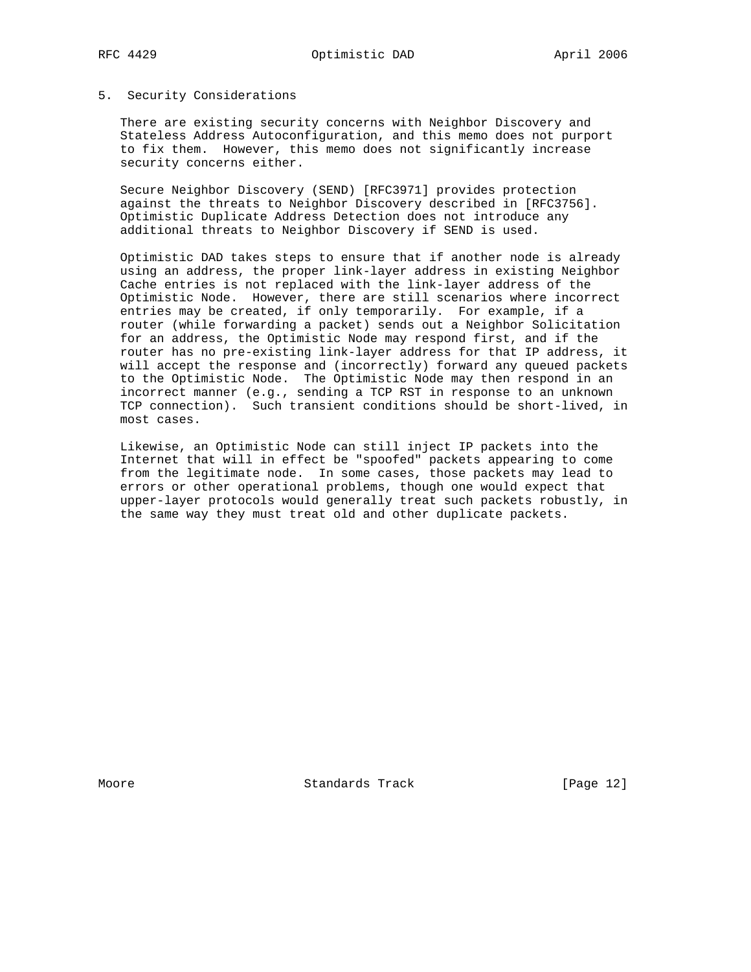#### 5. Security Considerations

 There are existing security concerns with Neighbor Discovery and Stateless Address Autoconfiguration, and this memo does not purport to fix them. However, this memo does not significantly increase security concerns either.

 Secure Neighbor Discovery (SEND) [RFC3971] provides protection against the threats to Neighbor Discovery described in [RFC3756]. Optimistic Duplicate Address Detection does not introduce any additional threats to Neighbor Discovery if SEND is used.

 Optimistic DAD takes steps to ensure that if another node is already using an address, the proper link-layer address in existing Neighbor Cache entries is not replaced with the link-layer address of the Optimistic Node. However, there are still scenarios where incorrect entries may be created, if only temporarily. For example, if a router (while forwarding a packet) sends out a Neighbor Solicitation for an address, the Optimistic Node may respond first, and if the router has no pre-existing link-layer address for that IP address, it will accept the response and (incorrectly) forward any queued packets to the Optimistic Node. The Optimistic Node may then respond in an incorrect manner (e.g., sending a TCP RST in response to an unknown TCP connection). Such transient conditions should be short-lived, in most cases.

 Likewise, an Optimistic Node can still inject IP packets into the Internet that will in effect be "spoofed" packets appearing to come from the legitimate node. In some cases, those packets may lead to errors or other operational problems, though one would expect that upper-layer protocols would generally treat such packets robustly, in the same way they must treat old and other duplicate packets.

Moore Standards Track [Page 12]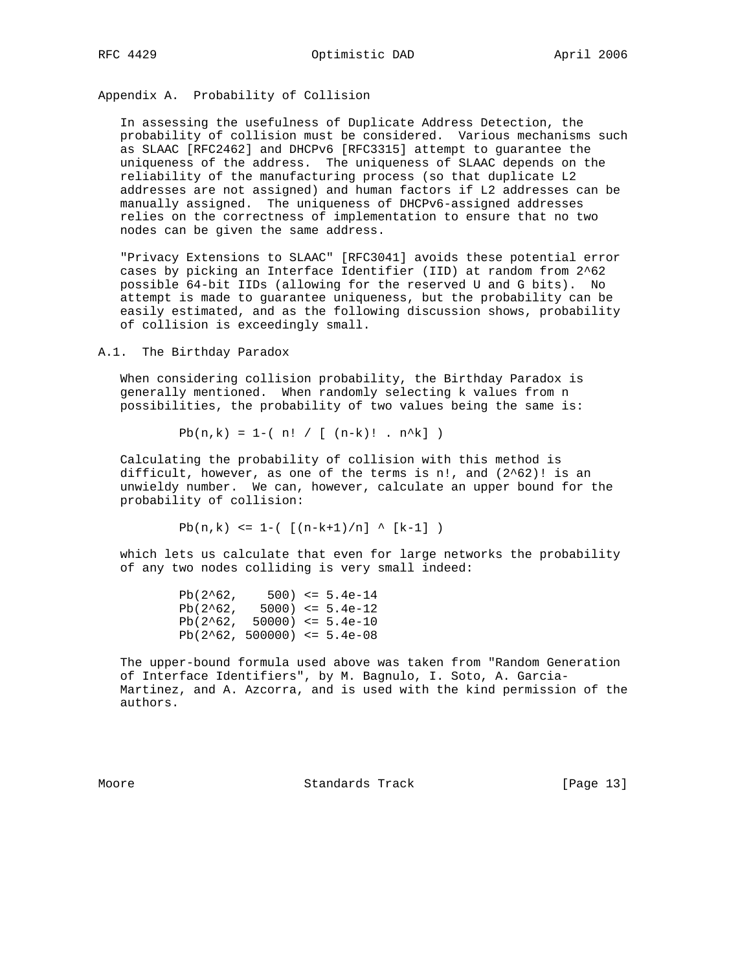RFC 4429 Optimistic DAD April 2006

Appendix A. Probability of Collision

 In assessing the usefulness of Duplicate Address Detection, the probability of collision must be considered. Various mechanisms such as SLAAC [RFC2462] and DHCPv6 [RFC3315] attempt to guarantee the uniqueness of the address. The uniqueness of SLAAC depends on the reliability of the manufacturing process (so that duplicate L2 addresses are not assigned) and human factors if L2 addresses can be manually assigned. The uniqueness of DHCPv6-assigned addresses relies on the correctness of implementation to ensure that no two nodes can be given the same address.

 "Privacy Extensions to SLAAC" [RFC3041] avoids these potential error cases by picking an Interface Identifier (IID) at random from 2^62 possible 64-bit IIDs (allowing for the reserved U and G bits). No attempt is made to guarantee uniqueness, but the probability can be easily estimated, and as the following discussion shows, probability of collision is exceedingly small.

A.1. The Birthday Paradox

 When considering collision probability, the Birthday Paradox is generally mentioned. When randomly selecting k values from n possibilities, the probability of two values being the same is:

 $Pb(n,k) = 1-(n! / [(n-k)! \cdot n^k] )$ 

 Calculating the probability of collision with this method is difficult, however, as one of the terms is n!, and  $(2^62)!$  is an unwieldy number. We can, however, calculate an upper bound for the probability of collision:

Pb(n,k) <= 1-(  $[(n-k+1)/n]$  ^  $[k-1]$  )

 which lets us calculate that even for large networks the probability of any two nodes colliding is very small indeed:

 $Pb(2^62, 500) \leq 5.4e-14$  $Pb(2^62, 5000) \leq 5.4e-12$  $Pb(2^62, 50000) \leq 5.4e-10$  $Pb(2^62, 500000) \le 5.4e-08$ 

 The upper-bound formula used above was taken from "Random Generation of Interface Identifiers", by M. Bagnulo, I. Soto, A. Garcia- Martinez, and A. Azcorra, and is used with the kind permission of the authors.

Moore Standards Track [Page 13]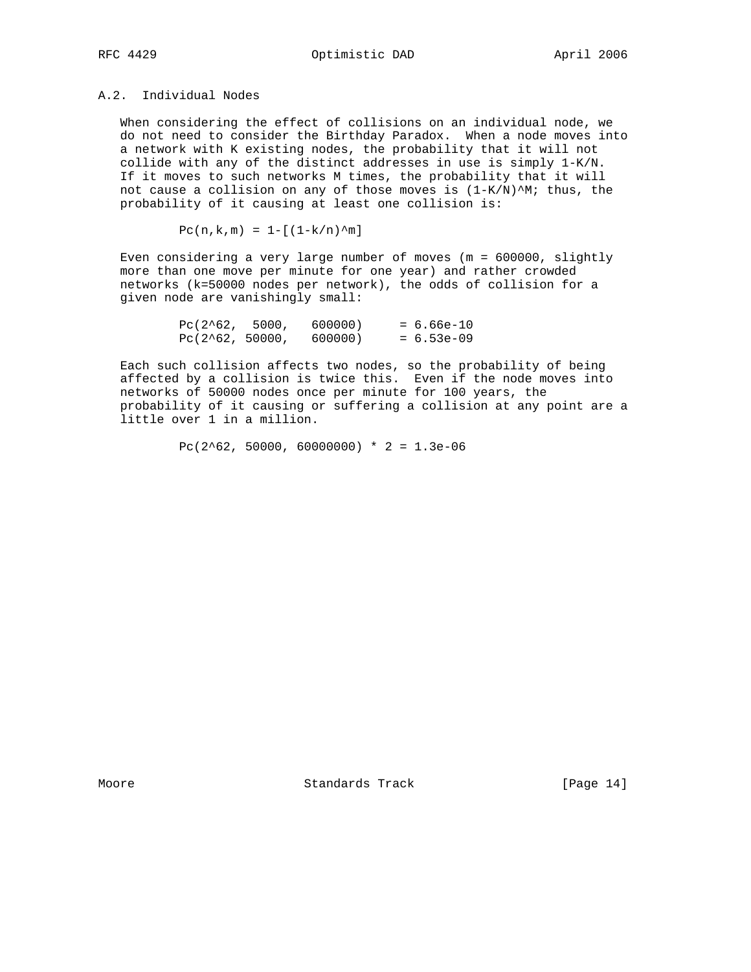## A.2. Individual Nodes

 When considering the effect of collisions on an individual node, we do not need to consider the Birthday Paradox. When a node moves into a network with K existing nodes, the probability that it will not collide with any of the distinct addresses in use is simply 1-K/N. If it moves to such networks M times, the probability that it will not cause a collision on any of those moves is  $(1-K/N)^{M}$ ; thus, the probability of it causing at least one collision is:

 $Pc(n,k,m) = 1 - [(1-k/n)^{m}]$ 

 Even considering a very large number of moves (m = 600000, slightly more than one move per minute for one year) and rather crowded networks (k=50000 nodes per network), the odds of collision for a given node are vanishingly small:

| $PC(2^62, 5000,$  | 600000) | $= 6.66e-10$ |
|-------------------|---------|--------------|
| $PC(2^62, 50000,$ | 600000) | $= 6.53e-09$ |

 Each such collision affects two nodes, so the probability of being affected by a collision is twice this. Even if the node moves into networks of 50000 nodes once per minute for 100 years, the probability of it causing or suffering a collision at any point are a little over 1 in a million.

Pc(2^62, 50000, 60000000) \* 2 = 1.3e-06

Moore Standards Track [Page 14]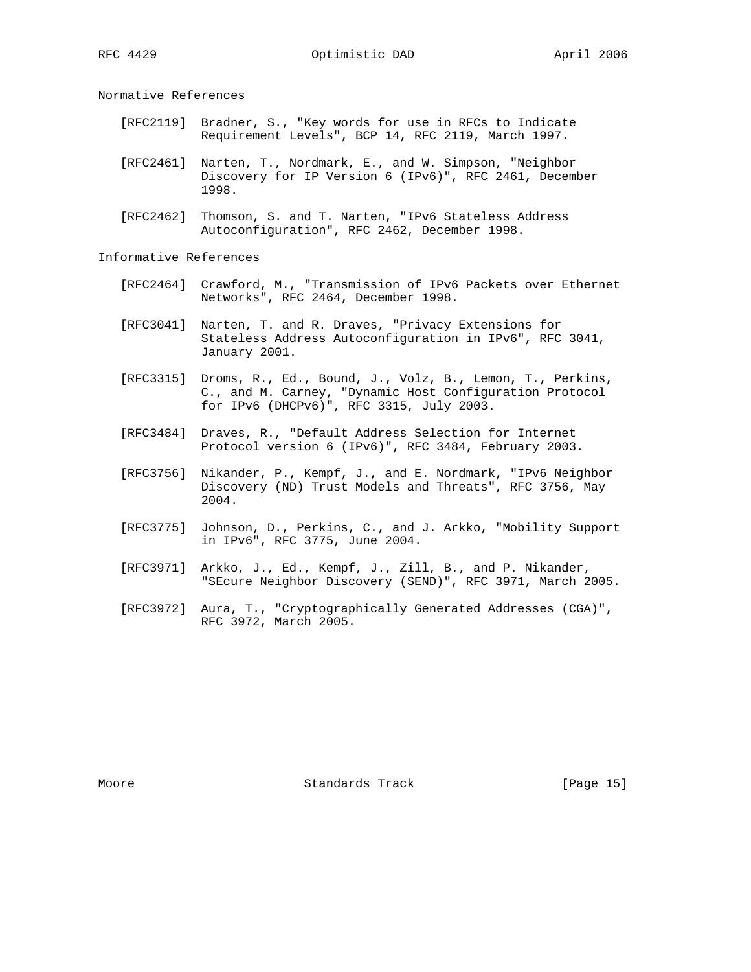Normative References

- [RFC2119] Bradner, S., "Key words for use in RFCs to Indicate Requirement Levels", BCP 14, RFC 2119, March 1997.
- [RFC2461] Narten, T., Nordmark, E., and W. Simpson, "Neighbor Discovery for IP Version 6 (IPv6)", RFC 2461, December 1998.
- [RFC2462] Thomson, S. and T. Narten, "IPv6 Stateless Address Autoconfiguration", RFC 2462, December 1998.

Informative References

- [RFC2464] Crawford, M., "Transmission of IPv6 Packets over Ethernet Networks", RFC 2464, December 1998.
- [RFC3041] Narten, T. and R. Draves, "Privacy Extensions for Stateless Address Autoconfiguration in IPv6", RFC 3041, January 2001.
- [RFC3315] Droms, R., Ed., Bound, J., Volz, B., Lemon, T., Perkins, C., and M. Carney, "Dynamic Host Configuration Protocol for IPv6 (DHCPv6)", RFC 3315, July 2003.
	- [RFC3484] Draves, R., "Default Address Selection for Internet Protocol version 6 (IPv6)", RFC 3484, February 2003.
	- [RFC3756] Nikander, P., Kempf, J., and E. Nordmark, "IPv6 Neighbor Discovery (ND) Trust Models and Threats", RFC 3756, May 2004.
	- [RFC3775] Johnson, D., Perkins, C., and J. Arkko, "Mobility Support in IPv6", RFC 3775, June 2004.
	- [RFC3971] Arkko, J., Ed., Kempf, J., Zill, B., and P. Nikander, "SEcure Neighbor Discovery (SEND)", RFC 3971, March 2005.
	- [RFC3972] Aura, T., "Cryptographically Generated Addresses (CGA)", RFC 3972, March 2005.

Moore **Standards Track** [Page 15]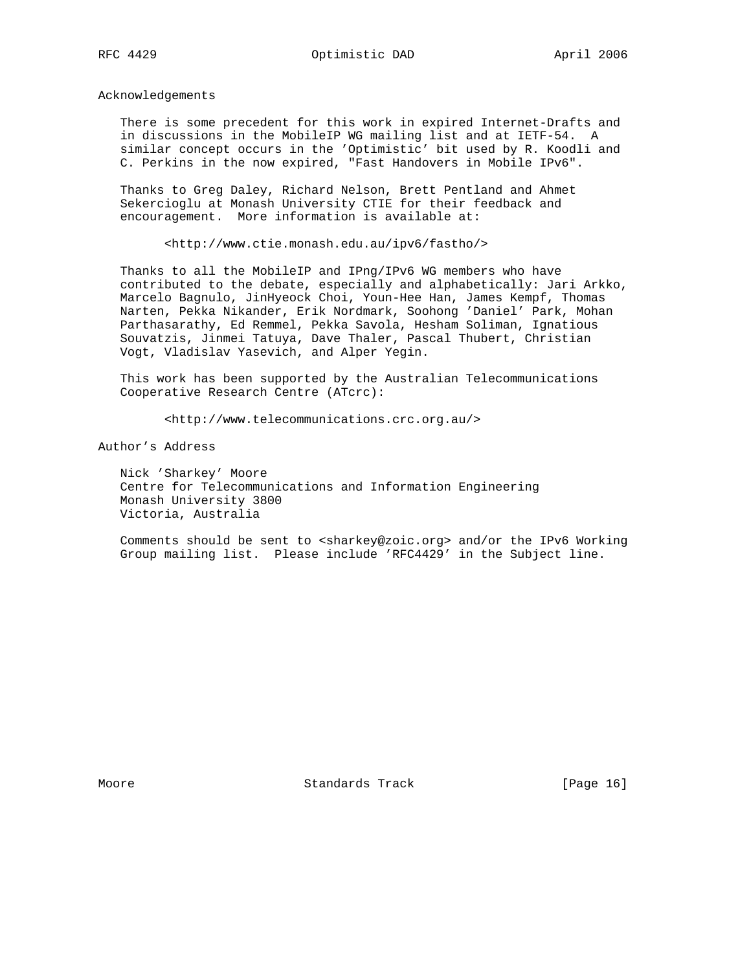Acknowledgements

 There is some precedent for this work in expired Internet-Drafts and in discussions in the MobileIP WG mailing list and at IETF-54. A similar concept occurs in the 'Optimistic' bit used by R. Koodli and C. Perkins in the now expired, "Fast Handovers in Mobile IPv6".

 Thanks to Greg Daley, Richard Nelson, Brett Pentland and Ahmet Sekercioglu at Monash University CTIE for their feedback and encouragement. More information is available at:

<http://www.ctie.monash.edu.au/ipv6/fastho/>

 Thanks to all the MobileIP and IPng/IPv6 WG members who have contributed to the debate, especially and alphabetically: Jari Arkko, Marcelo Bagnulo, JinHyeock Choi, Youn-Hee Han, James Kempf, Thomas Narten, Pekka Nikander, Erik Nordmark, Soohong 'Daniel' Park, Mohan Parthasarathy, Ed Remmel, Pekka Savola, Hesham Soliman, Ignatious Souvatzis, Jinmei Tatuya, Dave Thaler, Pascal Thubert, Christian Vogt, Vladislav Yasevich, and Alper Yegin.

 This work has been supported by the Australian Telecommunications Cooperative Research Centre (ATcrc):

<http://www.telecommunications.crc.org.au/>

Author's Address

 Nick 'Sharkey' Moore Centre for Telecommunications and Information Engineering Monash University 3800 Victoria, Australia

 Comments should be sent to <sharkey@zoic.org> and/or the IPv6 Working Group mailing list. Please include 'RFC4429' in the Subject line.

Moore Standards Track [Page 16]